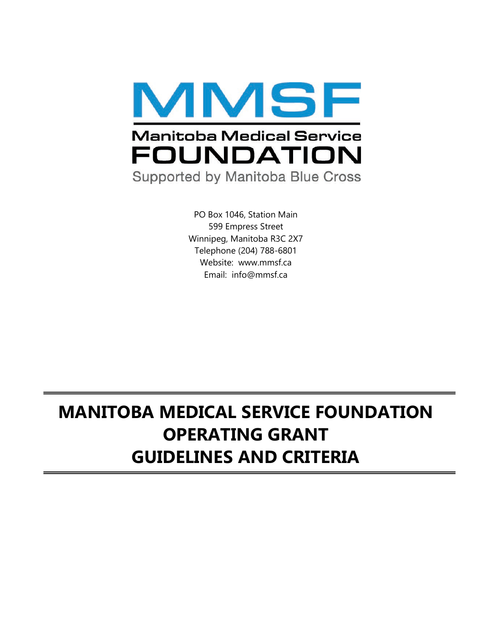

PO Box 1046, Station Main 599 Empress Street Winnipeg, Manitoba R3C 2X7 Telephone (204) 788-6801 Website: www.mmsf.ca Email: info@mmsf.ca

# **MANITOBA MEDICAL SERVICE FOUNDATION OPERATING GRANT GUIDELINES AND CRITERIA**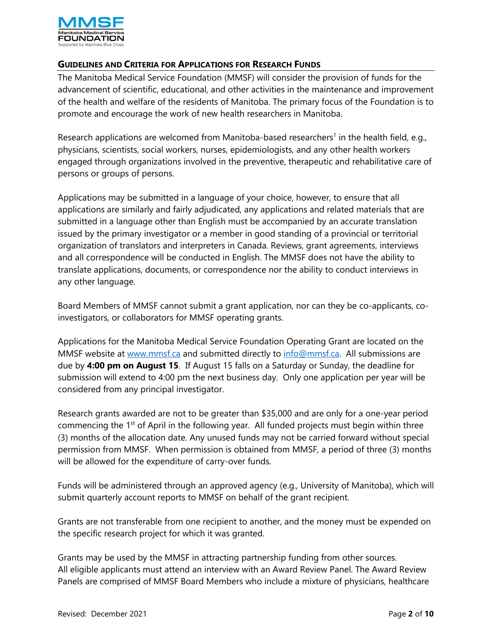

# **GUIDELINES AND CRITERIA FOR APPLICATIONS FOR RESEARCH FUNDS**

The Manitoba Medical Service Foundation (MMSF) will consider the provision of funds for the advancement of scientific, educational, and other activities in the maintenance and improvement of the health and welfare of the residents of Manitoba. The primary focus of the Foundation is to promote and encourage the work of new health researchers in Manitoba.

Research applications are welcomed from Manitoba-based researchers<sup>1</sup> in the health field, e.g., physicians, scientists, social workers, nurses, epidemiologists, and any other health workers engaged through organizations involved in the preventive, therapeutic and rehabilitative care of persons or groups of persons.

Applications may be submitted in a language of your choice, however, to ensure that all applications are similarly and fairly adjudicated, any applications and related materials that are submitted in a language other than English must be accompanied by an accurate translation issued by the primary investigator or a member in good standing of a provincial or territorial organization of translators and interpreters in Canada. Reviews, grant agreements, interviews and all correspondence will be conducted in English. The MMSF does not have the ability to translate applications, documents, or correspondence nor the ability to conduct interviews in any other language.

Board Members of MMSF cannot submit a grant application, nor can they be co-applicants, coinvestigators, or collaborators for MMSF operating grants.

Applications for the Manitoba Medical Service Foundation Operating Grant are located on the MMSF website at [www.mmsf.ca](http://www.mmsf.ca/) and submitted directly to [info@mmsf.ca.](mailto:info@mmsf.ca) All submissions are due by **4:00 pm on August 15**. If August 15 falls on a Saturday or Sunday, the deadline for submission will extend to 4:00 pm the next business day. Only one application per year will be considered from any principal investigator.

Research grants awarded are not to be greater than \$35,000 and are only for a one-year period commencing the 1<sup>st</sup> of April in the following year. All funded projects must begin within three (3) months of the allocation date. Any unused funds may not be carried forward without special permission from MMSF. When permission is obtained from MMSF, a period of three (3) months will be allowed for the expenditure of carry-over funds.

Funds will be administered through an approved agency (e.g., University of Manitoba), which will submit quarterly account reports to MMSF on behalf of the grant recipient.

Grants are not transferable from one recipient to another, and the money must be expended on the specific research project for which it was granted.

Grants may be used by the MMSF in attracting partnership funding from other sources. All eligible applicants must attend an interview with an Award Review Panel. The Award Review Panels are comprised of MMSF Board Members who include a mixture of physicians, healthcare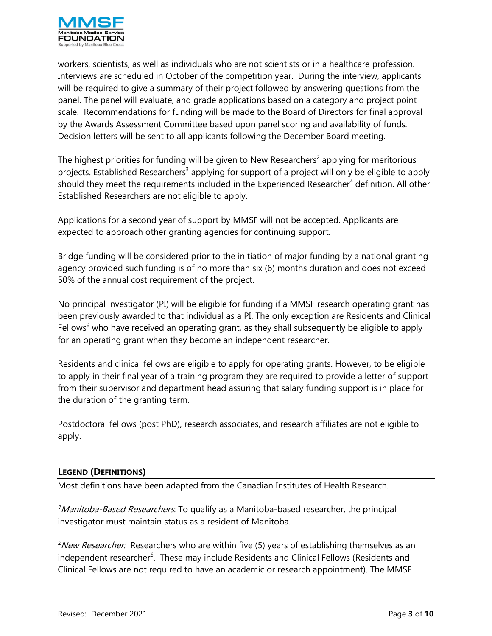

workers, scientists, as well as individuals who are not scientists or in a healthcare profession. Interviews are scheduled in October of the competition year. During the interview, applicants will be required to give a summary of their project followed by answering questions from the panel. The panel will evaluate, and grade applications based on a category and project point scale. Recommendations for funding will be made to the Board of Directors for final approval by the Awards Assessment Committee based upon panel scoring and availability of funds. Decision letters will be sent to all applicants following the December Board meeting.

The highest priorities for funding will be given to New Researchers<sup>2</sup> applying for meritorious projects. Established Researchers<sup>3</sup> applying for support of a project will only be eligible to apply should they meet the requirements included in the Experienced Researcher<sup>4</sup> definition. All other Established Researchers are not eligible to apply.

Applications for a second year of support by MMSF will not be accepted. Applicants are expected to approach other granting agencies for continuing support.

Bridge funding will be considered prior to the initiation of major funding by a national granting agency provided such funding is of no more than six (6) months duration and does not exceed 50% of the annual cost requirement of the project.

No principal investigator (PI) will be eligible for funding if a MMSF research operating grant has been previously awarded to that individual as a PI. The only exception are Residents and Clinical Fellows<sup>6</sup> who have received an operating grant, as they shall subsequently be eligible to apply for an operating grant when they become an independent researcher.

Residents and clinical fellows are eligible to apply for operating grants. However, to be eligible to apply in their final year of a training program they are required to provide a letter of support from their supervisor and department head assuring that salary funding support is in place for the duration of the granting term.

Postdoctoral fellows (post PhD), research associates, and research affiliates are not eligible to apply.

# **LEGEND (DEFINITIONS)**

Most definitions have been adapted from the Canadian Institutes of Health Research.

<sup>1</sup>Manitoba-Based Researchers. To qualify as a Manitoba-based researcher, the principal investigator must maintain status as a resident of Manitoba.

<sup>2</sup>New Researcher: Researchers who are within five (5) years of establishing themselves as an independent researcher<sup>6</sup>. These may include Residents and Clinical Fellows (Residents and Clinical Fellows are not required to have an academic or research appointment). The MMSF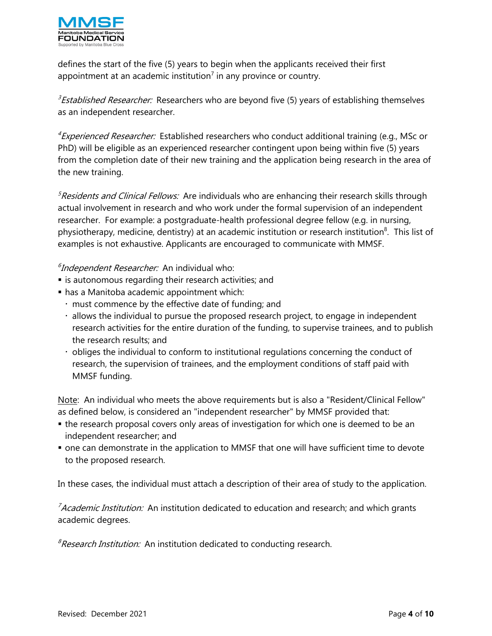

defines the start of the five (5) years to begin when the applicants received their first appointment at an academic institution<sup>7</sup> in any province or country.

<sup>3</sup> Established Researcher: Researchers who are beyond five (5) years of establishing themselves as an independent researcher.

*<sup>4</sup>Experienced Researcher:* Established researchers who conduct additional training (e.g., MSc or PhD) will be eligible as an experienced researcher contingent upon being within five (5) years from the completion date of their new training and the application being research in the area of the new training.

 ${}^{5}$ Residents and Clinical Fellows: Are individuals who are enhancing their research skills through actual involvement in research and who work under the formal supervision of an independent researcher. For example: a postgraduate-health professional degree fellow (e.g. in nursing, physiotherapy, medicine, dentistry) at an academic institution or research institution<sup>8</sup>. This list of examples is not exhaustive. Applicants are encouraged to communicate with MMSF.

 $\delta$ Independent Researcher: An individual who:

- **Example 1** is autonomous regarding their research activities; and
- has a Manitoba academic appointment which:
	- $\cdot$  must commence by the effective date of funding; and
	- $\cdot$  allows the individual to pursue the proposed research project, to engage in independent research activities for the entire duration of the funding, to supervise trainees, and to publish the research results; and
	- $\cdot$  obliges the individual to conform to institutional regulations concerning the conduct of research, the supervision of trainees, and the employment conditions of staff paid with MMSF funding.

Note: An individual who meets the above requirements but is also a "Resident/Clinical Fellow" as defined below, is considered an "independent researcher" by MMSF provided that:

- the research proposal covers only areas of investigation for which one is deemed to be an independent researcher; and
- one can demonstrate in the application to MMSF that one will have sufficient time to devote to the proposed research.

In these cases, the individual must attach a description of their area of study to the application.

 $7$ Academic Institution: An institution dedicated to education and research; and which grants academic degrees.

 $\beta$ Research Institution: An institution dedicated to conducting research.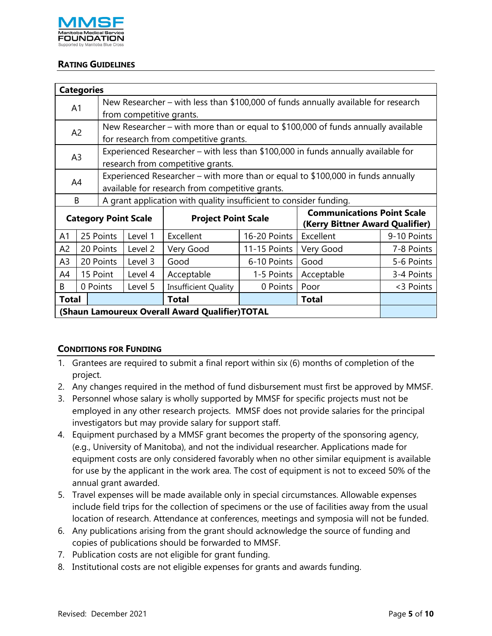

# **RATING GUIDELINES**

| <b>Categories</b>                               |                                                                                                      |                                                                                   |         |                             |              |                                   |             |
|-------------------------------------------------|------------------------------------------------------------------------------------------------------|-----------------------------------------------------------------------------------|---------|-----------------------------|--------------|-----------------------------------|-------------|
|                                                 | New Researcher – with less than \$100,000 of funds annually available for research<br>A <sub>1</sub> |                                                                                   |         |                             |              |                                   |             |
|                                                 |                                                                                                      | from competitive grants.                                                          |         |                             |              |                                   |             |
| A <sub>2</sub>                                  |                                                                                                      | New Researcher – with more than or equal to \$100,000 of funds annually available |         |                             |              |                                   |             |
|                                                 |                                                                                                      | for research from competitive grants.                                             |         |                             |              |                                   |             |
| A <sub>3</sub>                                  |                                                                                                      | Experienced Researcher – with less than \$100,000 in funds annually available for |         |                             |              |                                   |             |
|                                                 |                                                                                                      | research from competitive grants.                                                 |         |                             |              |                                   |             |
| A4                                              |                                                                                                      | Experienced Researcher – with more than or equal to $$100,000$ in funds annually  |         |                             |              |                                   |             |
|                                                 |                                                                                                      | available for research from competitive grants.                                   |         |                             |              |                                   |             |
|                                                 | B                                                                                                    | A grant application with quality insufficient to consider funding.                |         |                             |              |                                   |             |
|                                                 |                                                                                                      | <b>Category Point Scale</b>                                                       |         | <b>Project Point Scale</b>  |              | <b>Communications Point Scale</b> |             |
|                                                 |                                                                                                      |                                                                                   |         |                             |              | (Kerry Bittner Award Qualifier)   |             |
| A <sub>1</sub>                                  |                                                                                                      | 25 Points                                                                         | Level 1 | Excellent                   | 16-20 Points | Excellent                         | 9-10 Points |
| A <sup>2</sup>                                  | 20 Points                                                                                            |                                                                                   | Level 2 | Very Good                   | 11-15 Points | Very Good                         | 7-8 Points  |
| A <sub>3</sub>                                  | 20 Points                                                                                            |                                                                                   | Level 3 | Good                        | 6-10 Points  | Good                              | 5-6 Points  |
| A4                                              | 15 Point                                                                                             |                                                                                   | Level 4 | Acceptable                  | 1-5 Points   | Acceptable                        | 3-4 Points  |
| B                                               | 0 Points                                                                                             |                                                                                   | Level 5 | <b>Insufficient Quality</b> | 0 Points     | Poor                              | <3 Points   |
| Total                                           |                                                                                                      |                                                                                   |         | <b>Total</b>                |              | <b>Total</b>                      |             |
| (Shaun Lamoureux Overall Award Qualifier) TOTAL |                                                                                                      |                                                                                   |         |                             |              |                                   |             |

# **CONDITIONS FOR FUNDING**

- 1. Grantees are required to submit a final report within six (6) months of completion of the project.
- 2. Any changes required in the method of fund disbursement must first be approved by MMSF.
- 3. Personnel whose salary is wholly supported by MMSF for specific projects must not be employed in any other research projects. MMSF does not provide salaries for the principal investigators but may provide salary for support staff.
- 4. Equipment purchased by a MMSF grant becomes the property of the sponsoring agency, (e.g., University of Manitoba), and not the individual researcher. Applications made for equipment costs are only considered favorably when no other similar equipment is available for use by the applicant in the work area. The cost of equipment is not to exceed 50% of the annual grant awarded.
- 5. Travel expenses will be made available only in special circumstances. Allowable expenses include field trips for the collection of specimens or the use of facilities away from the usual location of research. Attendance at conferences, meetings and symposia will not be funded.
- 6. Any publications arising from the grant should acknowledge the source of funding and copies of publications should be forwarded to MMSF.
- 7. Publication costs are not eligible for grant funding.
- 8. Institutional costs are not eligible expenses for grants and awards funding.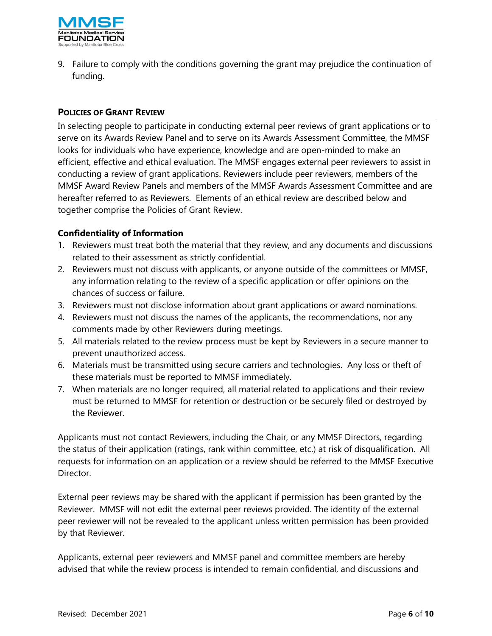

9. Failure to comply with the conditions governing the grant may prejudice the continuation of funding.

# **POLICIES OF GRANT REVIEW**

In selecting people to participate in conducting external peer reviews of grant applications or to serve on its Awards Review Panel and to serve on its Awards Assessment Committee, the MMSF looks for individuals who have experience, knowledge and are open-minded to make an efficient, effective and ethical evaluation. The MMSF engages external peer reviewers to assist in conducting a review of grant applications. Reviewers include peer reviewers, members of the MMSF Award Review Panels and members of the MMSF Awards Assessment Committee and are hereafter referred to as Reviewers. Elements of an ethical review are described below and together comprise the Policies of Grant Review.

# **Confidentiality of Information**

- 1. Reviewers must treat both the material that they review, and any documents and discussions related to their assessment as strictly confidential.
- 2. Reviewers must not discuss with applicants, or anyone outside of the committees or MMSF, any information relating to the review of a specific application or offer opinions on the chances of success or failure.
- 3. Reviewers must not disclose information about grant applications or award nominations.
- 4. Reviewers must not discuss the names of the applicants, the recommendations, nor any comments made by other Reviewers during meetings.
- 5. All materials related to the review process must be kept by Reviewers in a secure manner to prevent unauthorized access.
- 6. Materials must be transmitted using secure carriers and technologies. Any loss or theft of these materials must be reported to MMSF immediately.
- 7. When materials are no longer required, all material related to applications and their review must be returned to MMSF for retention or destruction or be securely filed or destroyed by the Reviewer.

Applicants must not contact Reviewers, including the Chair, or any MMSF Directors, regarding the status of their application (ratings, rank within committee, etc.) at risk of disqualification. All requests for information on an application or a review should be referred to the MMSF Executive Director.

External peer reviews may be shared with the applicant if permission has been granted by the Reviewer. MMSF will not edit the external peer reviews provided. The identity of the external peer reviewer will not be revealed to the applicant unless written permission has been provided by that Reviewer.

Applicants, external peer reviewers and MMSF panel and committee members are hereby advised that while the review process is intended to remain confidential, and discussions and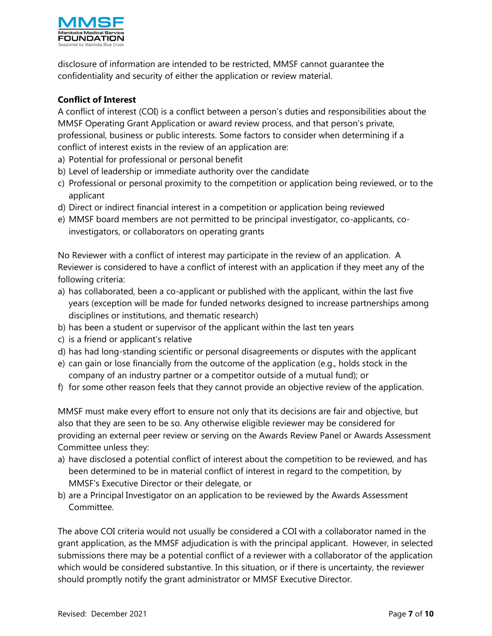

disclosure of information are intended to be restricted, MMSF cannot guarantee the confidentiality and security of either the application or review material.

# **Conflict of Interest**

A conflict of interest (COI) is a conflict between a person's duties and responsibilities about the MMSF Operating Grant Application or award review process, and that person's private, professional, business or public interests. Some factors to consider when determining if a conflict of interest exists in the review of an application are:

- a) Potential for professional or personal benefit
- b) Level of leadership or immediate authority over the candidate
- c) Professional or personal proximity to the competition or application being reviewed, or to the applicant
- d) Direct or indirect financial interest in a competition or application being reviewed
- e) MMSF board members are not permitted to be principal investigator, co-applicants, coinvestigators, or collaborators on operating grants

No Reviewer with a conflict of interest may participate in the review of an application. A Reviewer is considered to have a conflict of interest with an application if they meet any of the following criteria:

- a) has collaborated, been a co-applicant or published with the applicant, within the last five years (exception will be made for funded networks designed to increase partnerships among disciplines or institutions, and thematic research)
- b) has been a student or supervisor of the applicant within the last ten years
- c) is a friend or applicant's relative
- d) has had long-standing scientific or personal disagreements or disputes with the applicant
- e) can gain or lose financially from the outcome of the application (e.g., holds stock in the company of an industry partner or a competitor outside of a mutual fund); or
- f) for some other reason feels that they cannot provide an objective review of the application.

MMSF must make every effort to ensure not only that its decisions are fair and objective, but also that they are seen to be so. Any otherwise eligible reviewer may be considered for providing an external peer review or serving on the Awards Review Panel or Awards Assessment Committee unless they:

- a) have disclosed a potential conflict of interest about the competition to be reviewed, and has been determined to be in material conflict of interest in regard to the competition, by MMSF's Executive Director or their delegate, or
- b) are a Principal Investigator on an application to be reviewed by the Awards Assessment Committee.

The above COI criteria would not usually be considered a COI with a collaborator named in the grant application, as the MMSF adjudication is with the principal applicant. However, in selected submissions there may be a potential conflict of a reviewer with a collaborator of the application which would be considered substantive. In this situation, or if there is uncertainty, the reviewer should promptly notify the grant administrator or MMSF Executive Director.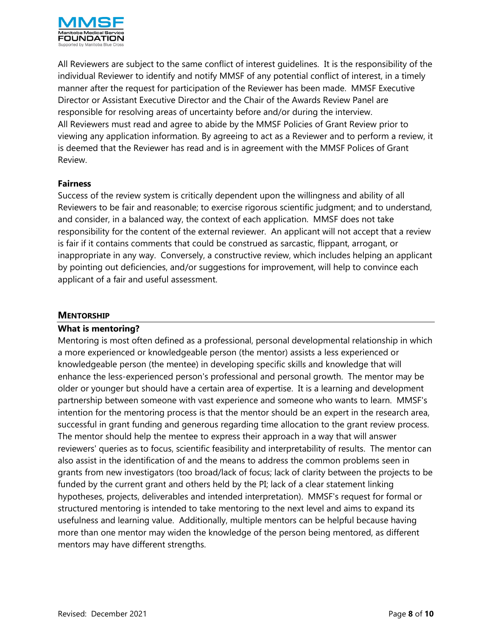

All Reviewers are subject to the same conflict of interest guidelines. It is the responsibility of the individual Reviewer to identify and notify MMSF of any potential conflict of interest, in a timely manner after the request for participation of the Reviewer has been made. MMSF Executive Director or Assistant Executive Director and the Chair of the Awards Review Panel are responsible for resolving areas of uncertainty before and/or during the interview. All Reviewers must read and agree to abide by the MMSF Policies of Grant Review prior to viewing any application information. By agreeing to act as a Reviewer and to perform a review, it is deemed that the Reviewer has read and is in agreement with the MMSF Polices of Grant Review.

#### **Fairness**

Success of the review system is critically dependent upon the willingness and ability of all Reviewers to be fair and reasonable; to exercise rigorous scientific judgment; and to understand, and consider, in a balanced way, the context of each application. MMSF does not take responsibility for the content of the external reviewer. An applicant will not accept that a review is fair if it contains comments that could be construed as sarcastic, flippant, arrogant, or inappropriate in any way. Conversely, a constructive review, which includes helping an applicant by pointing out deficiencies, and/or suggestions for improvement, will help to convince each applicant of a fair and useful assessment.

#### **MENTORSHIP**

#### **What is mentoring?**

Mentoring is most often defined as a professional, personal developmental relationship in which a more experienced or knowledgeable person (the mentor) assists a less experienced or knowledgeable person (the mentee) in developing specific skills and knowledge that will enhance the less-experienced person's professional and personal growth. The mentor may be older or younger but should have a certain area of expertise. It is a learning and development partnership between someone with vast experience and someone who wants to learn. MMSF's intention for the mentoring process is that the mentor should be an expert in the research area, successful in grant funding and generous regarding time allocation to the grant review process. The mentor should help the mentee to express their approach in a way that will answer reviewers' queries as to focus, scientific feasibility and interpretability of results. The mentor can also assist in the identification of and the means to address the common problems seen in grants from new investigators (too broad/lack of focus; lack of clarity between the projects to be funded by the current grant and others held by the PI; lack of a clear statement linking hypotheses, projects, deliverables and intended interpretation). MMSF's request for formal or structured mentoring is intended to take mentoring to the next level and aims to expand its usefulness and learning value. Additionally, multiple mentors can be helpful because having more than one mentor may widen the knowledge of the person being mentored, as different mentors may have different strengths.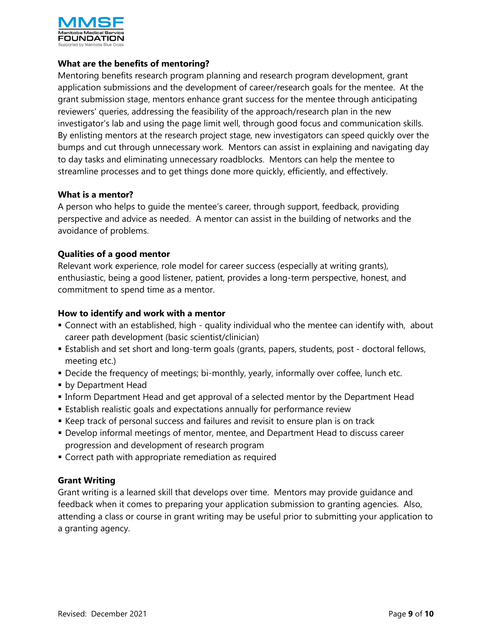

### **What are the benefits of mentoring?**

Mentoring benefits research program planning and research program development, grant application submissions and the development of career/research goals for the mentee. At the grant submission stage, mentors enhance grant success for the mentee through anticipating reviewers' queries, addressing the feasibility of the approach/research plan in the new investigator's lab and using the page limit well, through good focus and communication skills. By enlisting mentors at the research project stage, new investigators can speed quickly over the bumps and cut through unnecessary work. Mentors can assist in explaining and navigating day to day tasks and eliminating unnecessary roadblocks. Mentors can help the mentee to streamline processes and to get things done more quickly, efficiently, and effectively.

#### **What is a mentor?**

A person who helps to guide the mentee's career, through support, feedback, providing perspective and advice as needed. A mentor can assist in the building of networks and the avoidance of problems.

# **Qualities of a good mentor**

Relevant work experience, role model for career success (especially at writing grants), enthusiastic, being a good listener, patient, provides a long-term perspective, honest, and commitment to spend time as a mentor.

### **How to identify and work with a mentor**

- Connect with an established, high quality individual who the mentee can identify with, about career path development (basic scientist/clinician)
- Establish and set short and long-term goals (grants, papers, students, post doctoral fellows, meeting etc.)
- Decide the frequency of meetings; bi-monthly, yearly, informally over coffee, lunch etc.
- **by Department Head**
- Inform Department Head and get approval of a selected mentor by the Department Head
- Establish realistic goals and expectations annually for performance review
- Keep track of personal success and failures and revisit to ensure plan is on track
- Develop informal meetings of mentor, mentee, and Department Head to discuss career progression and development of research program
- **Correct path with appropriate remediation as required**

# **Grant Writing**

Grant writing is a learned skill that develops over time. Mentors may provide guidance and feedback when it comes to preparing your application submission to granting agencies. Also, attending a class or course in grant writing may be useful prior to submitting your application to a granting agency.